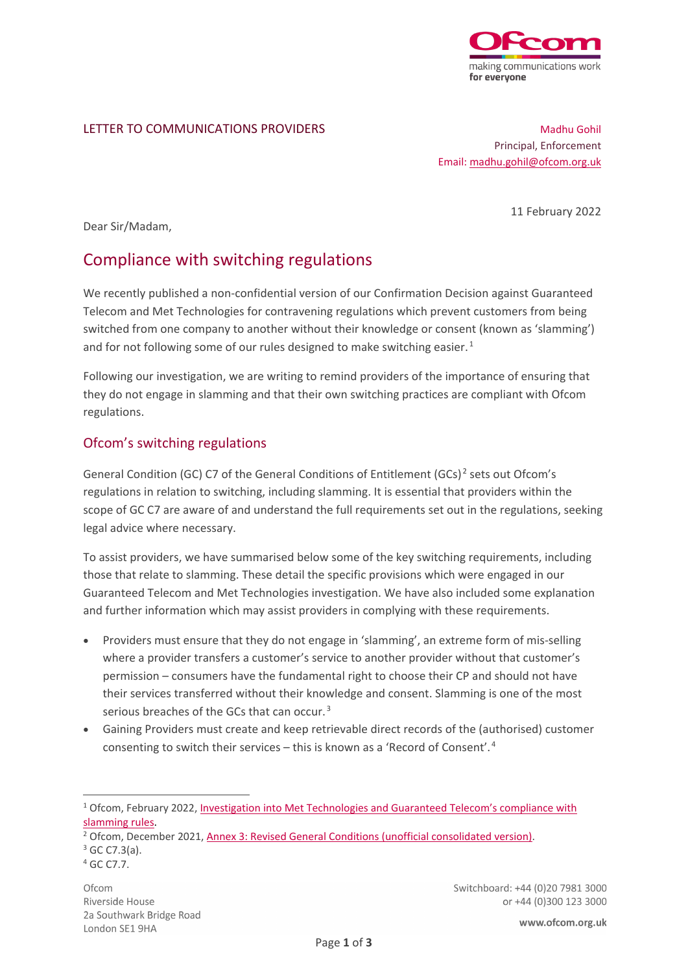

#### LETTER TO COMMUNICATIONS PROVIDERS

Madhu Gohil Principal, Enforcement Email[: madhu.gohil@ofcom.org.uk](mailto:madhu.gohil@ofcom.org.uk)

11 February 2022

Dear Sir/Madam,

# Compliance with switching regulations

We recently published a non-confidential version of our Confirmation Decision against Guaranteed Telecom and Met Technologies for contravening regulations which prevent customers from being switched from one company to another without their knowledge or consent (known as 'slamming') and for not following some of our rules designed to make switching easier.<sup>[1](#page-0-0)</sup>

Following our investigation, we are writing to remind providers of the importance of ensuring that they do not engage in slamming and that their own switching practices are compliant with Ofcom regulations.

# Ofcom's switching regulations

General Condition (GC) C7 of the General Conditions of Entitlement (GCs)<sup>[2](#page-0-1)</sup> sets out Ofcom's regulations in relation to switching, including slamming. It is essential that providers within the scope of GC C7 are aware of and understand the full requirements set out in the regulations, seeking legal advice where necessary.

To assist providers, we have summarised below some of the key switching requirements, including those that relate to slamming. These detail the specific provisions which were engaged in our Guaranteed Telecom and Met Technologies investigation. We have also included some explanation and further information which may assist providers in complying with these requirements.

- Providers must ensure that they do not engage in 'slamming', an extreme form of mis-selling where a provider transfers a customer's service to another provider without that customer's permission – consumers have the fundamental right to choose their CP and should not have their services transferred without their knowledge and consent. Slamming is one of the most serious breaches of the GCs that can occur.<sup>[3](#page-0-2)</sup>
- Gaining Providers must create and keep retrievable direct records of the (authorised) customer consenting to switch their services – this is known as a 'Record of Consent'. [4](#page-0-3)

Switchboard: +44 (0)20 7981 3000 or +44 (0)300 123 3000

<span id="page-0-0"></span><sup>&</sup>lt;sup>1</sup> Ofcom, February 2022, Investigation into Met Technologies and Guaranteed Telecom's compliance with slamming rules.

<span id="page-0-1"></span><sup>&</sup>lt;sup>2</sup> Ofcom, December 2021, [Annex 3: Revised General Conditions \(unofficial consolidated version\).](https://www.ofcom.org.uk/__data/assets/pdf_file/0016/209500/annex-3-revised-gc-eecc-17-dec-21.pdf)

<span id="page-0-3"></span><span id="page-0-2"></span> $3$  GC C7.3(a).<br> $4$  GC C7.7.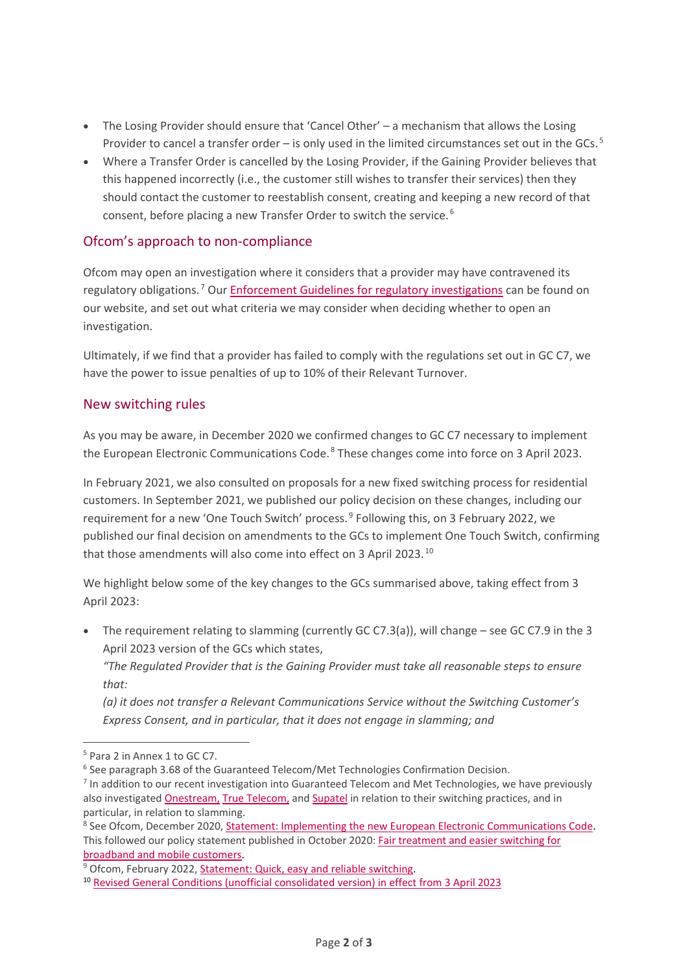- The Losing Provider should ensure that 'Cancel Other' a mechanism that allows the Losing Provider to cancel a transfer order – is only used in the limited circumstances set out in the GCs.<sup>[5](#page-1-0)</sup>
- Where a Transfer Order is cancelled by the Losing Provider, if the Gaining Provider believes that this happened incorrectly (i.e., the customer still wishes to transfer their services) then they should contact the customer to reestablish consent, creating and keeping a new record of that consent, before placing a new Transfer Order to switch the service. [6](#page-1-1)

## Ofcom's approach to non-compliance

Ofcom may open an investigation where it considers that a provider may have contravened its regulatory obligations.<sup>[7](#page-1-2)</sup> Our **Enforcement Guidelines [for regulatory investigations](https://www.ofcom.org.uk/__data/assets/pdf_file/0015/102516/Enforcement-guidelines-for-regulatory-investigations.pdf)** can be found on our website, and set out what criteria we may consider when deciding whether to open an investigation.

Ultimately, if we find that a provider has failed to comply with the regulations set out in GC C7, we have the power to issue penalties of up to 10% of their Relevant Turnover.

### New switching rules

As you may be aware, in December 2020 we confirmed changes to GC C7 necessary to implement the European Electronic Communications Code.<sup>[8](#page-1-3)</sup> These changes come into force on 3 April 2023.

In February 2021, we also consulted on proposals for a new fixed switching process for residential customers. In September 2021, we published our policy decision on these changes, including our requirement for a new 'One Touch Switch' process.<sup>[9](#page-1-4)</sup> Following this, on 3 February 2022, we published our final decision on amendments to the GCs to implement One Touch Switch, confirming that those amendments will also come into effect on 3 April 2023.<sup>[10](#page-1-5)</sup>

We highlight below some of the key changes to the GCs summarised above, taking effect from 3 April 2023:

• The requirement relating to slamming (currently GC C7.3(a)), will change – see GC C7.9 in the 3 April 2023 version of the GCs which states,

*"The Regulated Provider that is the Gaining Provider must take all reasonable steps to ensure that:* 

*(a) it does not transfer a Relevant Communications Service without the Switching Customer's Express Consent, and in particular, that it does not engage in slamming; and* 

<span id="page-1-0"></span><sup>5</sup> Para 2 in Annex 1 to GC C7.

<span id="page-1-1"></span><sup>&</sup>lt;sup>6</sup> See paragraph 3.68 of the Guaranteed Telecom/Met Technologies Confirmation Decision.

<span id="page-1-2"></span><sup>&</sup>lt;sup>7</sup> In addition to our recent investigation into Guaranteed Telecom and Met Technologies, we have previously also investigated [Onestream,](https://www.ofcom.org.uk/about-ofcom/latest/bulletins/competition-bulletins/all-closed-cases/cw_01234) [True Telecom,](https://www.ofcom.org.uk/about-ofcom/latest/bulletins/competition-bulletins/all-closed-cases/cw_01189) an[d Supatel](https://www.ofcom.org.uk/about-ofcom/latest/bulletins/competition-bulletins/all-closed-cases/cw_01096) in relation to their switching practices, and in particular, in relation to slamming.<br><sup>8</sup> See Ofcom, December 2020, Statement: Implementing the new European Electronic Communications Code.

<span id="page-1-3"></span>This followed our policy statement published in October 2020: [Fair treatment and easier switching for](https://www.ofcom.org.uk/__data/assets/pdf_file/0023/204980/statement-eecc-revised-proposals.pdf)  [broadband and mobile customers.](https://www.ofcom.org.uk/__data/assets/pdf_file/0023/204980/statement-eecc-revised-proposals.pdf)

<span id="page-1-4"></span><sup>&</sup>lt;sup>9</sup> Ofcom, February 2022, [Statement: Quick, easy and reliable switching.](https://www.ofcom.org.uk/consultations-and-statements/category-2/simpler-broadband-switching)

<span id="page-1-5"></span><sup>10</sup> [Revised General Conditions \(unofficial consolidated version\)](https://www.ofcom.org.uk/__data/assets/pdf_file/0017/232064/annex-3-revised-general-conditions-unofficial-consolidated-version-3-april-2023.pdf) in effect from 3 April 2023